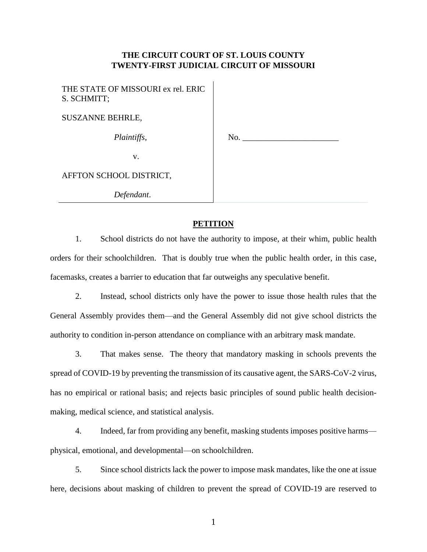# **THE CIRCUIT COURT OF ST. LOUIS COUNTY TWENTY-FIRST JUDICIAL CIRCUIT OF MISSOURI**

 $\mathbf{I}$ 

| THE STATE OF MISSOURI ex rel. ERIC<br>S. SCHMITT; |     |
|---------------------------------------------------|-----|
| <b>SUSZANNE BEHRLE,</b>                           |     |
| Plaintiffs,                                       | No. |
| V.                                                |     |
| AFFTON SCHOOL DISTRICT,                           |     |
| Defendant.                                        |     |

## **PETITION**

1. School districts do not have the authority to impose, at their whim, public health orders for their schoolchildren. That is doubly true when the public health order, in this case, facemasks, creates a barrier to education that far outweighs any speculative benefit.

2. Instead, school districts only have the power to issue those health rules that the General Assembly provides them—and the General Assembly did not give school districts the authority to condition in-person attendance on compliance with an arbitrary mask mandate.

3. That makes sense. The theory that mandatory masking in schools prevents the spread of COVID-19 by preventing the transmission of its causative agent, the SARS-CoV-2 virus, has no empirical or rational basis; and rejects basic principles of sound public health decisionmaking, medical science, and statistical analysis.

4. Indeed, far from providing any benefit, masking students imposes positive harms physical, emotional, and developmental—on schoolchildren.

5. Since school districts lack the power to impose mask mandates, like the one at issue here, decisions about masking of children to prevent the spread of COVID-19 are reserved to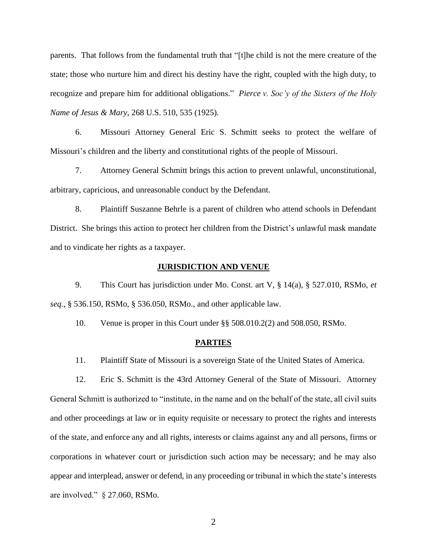parents. That follows from the fundamental truth that "[t]he child is not the mere creature of the state; those who nurture him and direct his destiny have the right, coupled with the high duty, to recognize and prepare him for additional obligations." *Pierce v. Soc'y of the Sisters of the Holy Name of Jesus & Mary*, 268 U.S. 510, 535 (1925).

6. Missouri Attorney General Eric S. Schmitt seeks to protect the welfare of Missouri's children and the liberty and constitutional rights of the people of Missouri.

7. Attorney General Schmitt brings this action to prevent unlawful, unconstitutional, arbitrary, capricious, and unreasonable conduct by the Defendant.

8. Plaintiff Suszanne Behrle is a parent of children who attend schools in Defendant District. She brings this action to protect her children from the District's unlawful mask mandate and to vindicate her rights as a taxpayer.

#### **JURISDICTION AND VENUE**

9. This Court has jurisdiction under Mo. Const. art V, § 14(a), § 527.010, RSMo, *et seq.*, § 536.150, RSMo, § 536.050, RSMo., and other applicable law.

10. Venue is proper in this Court under §§ 508.010.2(2) and 508.050, RSMo.

#### **PARTIES**

11. Plaintiff State of Missouri is a sovereign State of the United States of America.

12. Eric S. Schmitt is the 43rd Attorney General of the State of Missouri. Attorney General Schmitt is authorized to "institute, in the name and on the behalf of the state, all civil suits and other proceedings at law or in equity requisite or necessary to protect the rights and interests of the state, and enforce any and all rights, interests or claims against any and all persons, firms or corporations in whatever court or jurisdiction such action may be necessary; and he may also appear and interplead, answer or defend, in any proceeding or tribunal in which the state's interests are involved." § 27.060, RSMo.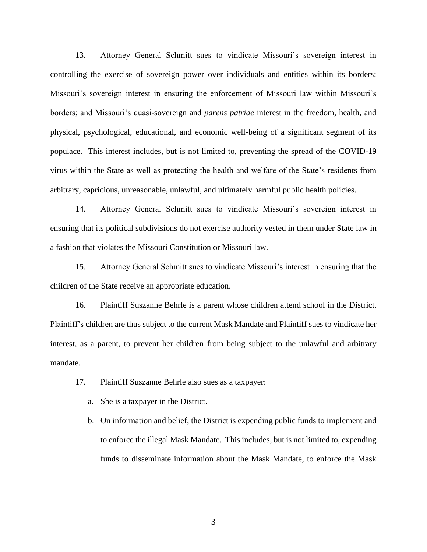13. Attorney General Schmitt sues to vindicate Missouri's sovereign interest in controlling the exercise of sovereign power over individuals and entities within its borders; Missouri's sovereign interest in ensuring the enforcement of Missouri law within Missouri's borders; and Missouri's quasi-sovereign and *parens patriae* interest in the freedom, health, and physical, psychological, educational, and economic well-being of a significant segment of its populace. This interest includes, but is not limited to, preventing the spread of the COVID-19 virus within the State as well as protecting the health and welfare of the State's residents from arbitrary, capricious, unreasonable, unlawful, and ultimately harmful public health policies.

14. Attorney General Schmitt sues to vindicate Missouri's sovereign interest in ensuring that its political subdivisions do not exercise authority vested in them under State law in a fashion that violates the Missouri Constitution or Missouri law.

15. Attorney General Schmitt sues to vindicate Missouri's interest in ensuring that the children of the State receive an appropriate education.

16. Plaintiff Suszanne Behrle is a parent whose children attend school in the District. Plaintiff's children are thus subject to the current Mask Mandate and Plaintiff sues to vindicate her interest, as a parent, to prevent her children from being subject to the unlawful and arbitrary mandate.

- 17. Plaintiff Suszanne Behrle also sues as a taxpayer:
	- a. She is a taxpayer in the District.
	- b. On information and belief, the District is expending public funds to implement and to enforce the illegal Mask Mandate. This includes, but is not limited to, expending funds to disseminate information about the Mask Mandate, to enforce the Mask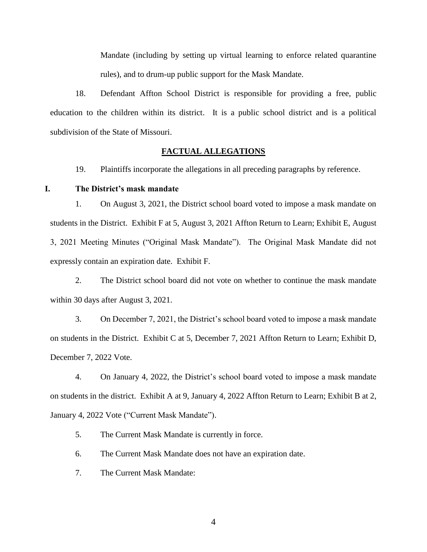Mandate (including by setting up virtual learning to enforce related quarantine rules), and to drum-up public support for the Mask Mandate.

18. Defendant Affton School District is responsible for providing a free, public education to the children within its district. It is a public school district and is a political subdivision of the State of Missouri.

#### **FACTUAL ALLEGATIONS**

19. Plaintiffs incorporate the allegations in all preceding paragraphs by reference.

### **I. The District's mask mandate**

1. On August 3, 2021, the District school board voted to impose a mask mandate on students in the District. Exhibit F at 5, August 3, 2021 Affton Return to Learn; Exhibit E, August 3, 2021 Meeting Minutes ("Original Mask Mandate"). The Original Mask Mandate did not expressly contain an expiration date. Exhibit F.

2. The District school board did not vote on whether to continue the mask mandate within 30 days after August 3, 2021.

3. On December 7, 2021, the District's school board voted to impose a mask mandate on students in the District. Exhibit C at 5, December 7, 2021 Affton Return to Learn; Exhibit D, December 7, 2022 Vote.

4. On January 4, 2022, the District's school board voted to impose a mask mandate on students in the district. Exhibit A at 9, January 4, 2022 Affton Return to Learn; Exhibit B at 2, January 4, 2022 Vote ("Current Mask Mandate").

5. The Current Mask Mandate is currently in force.

6. The Current Mask Mandate does not have an expiration date.

7. The Current Mask Mandate: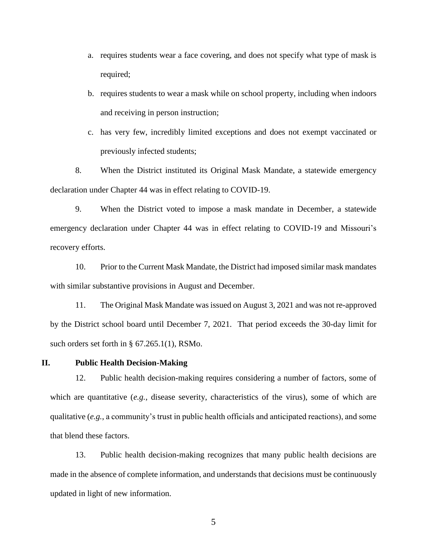- a. requires students wear a face covering, and does not specify what type of mask is required;
- b. requires students to wear a mask while on school property, including when indoors and receiving in person instruction;
- c. has very few, incredibly limited exceptions and does not exempt vaccinated or previously infected students;

8. When the District instituted its Original Mask Mandate, a statewide emergency declaration under Chapter 44 was in effect relating to COVID-19.

9. When the District voted to impose a mask mandate in December, a statewide emergency declaration under Chapter 44 was in effect relating to COVID-19 and Missouri's recovery efforts.

10. Prior to the Current Mask Mandate, the District had imposed similar mask mandates with similar substantive provisions in August and December.

11. The Original Mask Mandate was issued on August 3, 2021 and was not re-approved by the District school board until December 7, 2021. That period exceeds the 30-day limit for such orders set forth in § 67.265.1(1), RSMo.

**II. Public Health Decision-Making**

12. Public health decision-making requires considering a number of factors, some of which are quantitative (*e.g.*, disease severity, characteristics of the virus), some of which are qualitative (*e.g.*, a community's trust in public health officials and anticipated reactions), and some that blend these factors.

13. Public health decision-making recognizes that many public health decisions are made in the absence of complete information, and understands that decisions must be continuously updated in light of new information.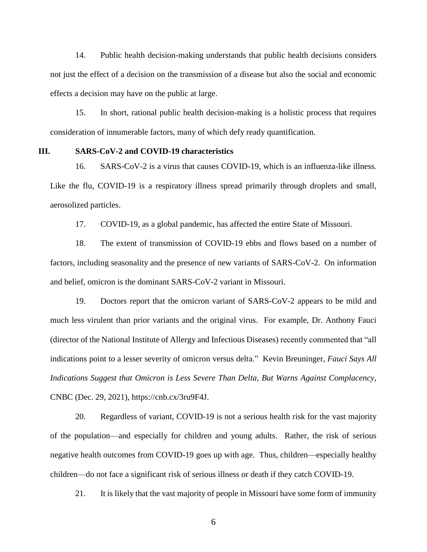14. Public health decision-making understands that public health decisions considers not just the effect of a decision on the transmission of a disease but also the social and economic effects a decision may have on the public at large.

15. In short, rational public health decision-making is a holistic process that requires consideration of innumerable factors, many of which defy ready quantification.

#### **III. SARS-CoV-2 and COVID-19 characteristics**

16. SARS-CoV-2 is a virus that causes COVID-19, which is an influenza-like illness. Like the flu, COVID-19 is a respiratory illness spread primarily through droplets and small, aerosolized particles.

17. COVID-19, as a global pandemic, has affected the entire State of Missouri.

18. The extent of transmission of COVID-19 ebbs and flows based on a number of factors, including seasonality and the presence of new variants of SARS-CoV-2. On information and belief, omicron is the dominant SARS-CoV-2 variant in Missouri.

19. Doctors report that the omicron variant of SARS-CoV-2 appears to be mild and much less virulent than prior variants and the original virus. For example, Dr. Anthony Fauci (director of the National Institute of Allergy and Infectious Diseases) recently commented that "all indications point to a lesser severity of omicron versus delta." Kevin Breuninger, *Fauci Says All Indications Suggest that Omicron is Less Severe Than Delta, But Warns Against Complacency*, CNBC (Dec. 29, 2021), https://cnb.cx/3ru9F4J.

20. Regardless of variant, COVID-19 is not a serious health risk for the vast majority of the population—and especially for children and young adults. Rather, the risk of serious negative health outcomes from COVID-19 goes up with age. Thus, children—especially healthy children—do not face a significant risk of serious illness or death if they catch COVID-19.

21. It is likely that the vast majority of people in Missouri have some form of immunity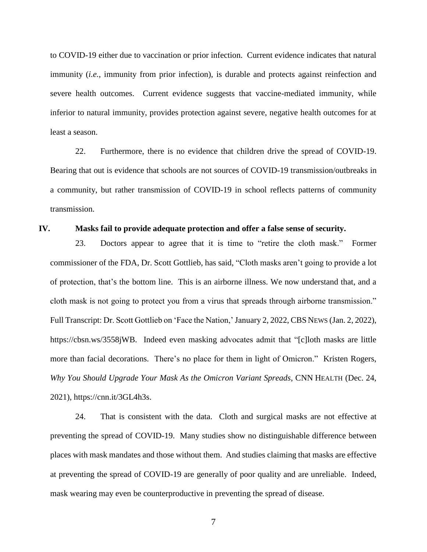to COVID-19 either due to vaccination or prior infection. Current evidence indicates that natural immunity (*i.e.*, immunity from prior infection), is durable and protects against reinfection and severe health outcomes. Current evidence suggests that vaccine-mediated immunity, while inferior to natural immunity, provides protection against severe, negative health outcomes for at least a season.

22. Furthermore, there is no evidence that children drive the spread of COVID-19. Bearing that out is evidence that schools are not sources of COVID-19 transmission/outbreaks in a community, but rather transmission of COVID-19 in school reflects patterns of community transmission.

#### **IV. Masks fail to provide adequate protection and offer a false sense of security.**

23. Doctors appear to agree that it is time to "retire the cloth mask." Former commissioner of the FDA, Dr. Scott Gottlieb, has said, "Cloth masks aren't going to provide a lot of protection, that's the bottom line. This is an airborne illness. We now understand that, and a cloth mask is not going to protect you from a virus that spreads through airborne transmission." Full Transcript: Dr. Scott Gottlieb on 'Face the Nation,' January 2, 2022, CBS NEWS (Jan. 2, 2022), https://cbsn.ws/3558jWB. Indeed even masking advocates admit that "[c]loth masks are little more than facial decorations. There's no place for them in light of Omicron." Kristen Rogers, *Why You Should Upgrade Your Mask As the Omicron Variant Spreads*, CNN HEALTH (Dec. 24, 2021), https://cnn.it/3GL4h3s.

24. That is consistent with the data. Cloth and surgical masks are not effective at preventing the spread of COVID-19. Many studies show no distinguishable difference between places with mask mandates and those without them. And studies claiming that masks are effective at preventing the spread of COVID-19 are generally of poor quality and are unreliable. Indeed, mask wearing may even be counterproductive in preventing the spread of disease.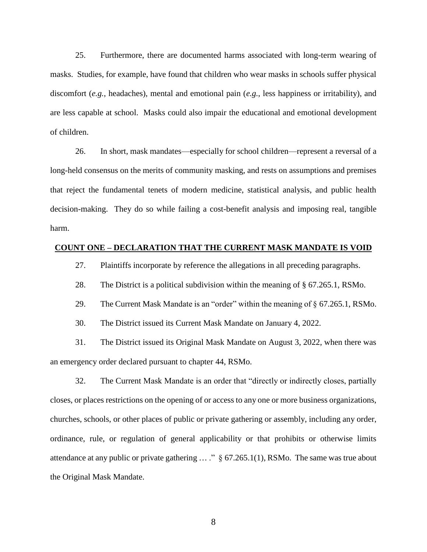25. Furthermore, there are documented harms associated with long-term wearing of masks. Studies, for example, have found that children who wear masks in schools suffer physical discomfort (*e.g.*, headaches), mental and emotional pain (*e.g.*, less happiness or irritability), and are less capable at school. Masks could also impair the educational and emotional development of children.

26. In short, mask mandates—especially for school children—represent a reversal of a long-held consensus on the merits of community masking, and rests on assumptions and premises that reject the fundamental tenets of modern medicine, statistical analysis, and public health decision-making. They do so while failing a cost-benefit analysis and imposing real, tangible harm.

## **COUNT ONE – DECLARATION THAT THE CURRENT MASK MANDATE IS VOID**

27. Plaintiffs incorporate by reference the allegations in all preceding paragraphs.

28. The District is a political subdivision within the meaning of § 67.265.1, RSMo.

29. The Current Mask Mandate is an "order" within the meaning of § 67.265.1, RSMo.

30. The District issued its Current Mask Mandate on January 4, 2022.

31. The District issued its Original Mask Mandate on August 3, 2022, when there was an emergency order declared pursuant to chapter 44, RSMo.

32. The Current Mask Mandate is an order that "directly or indirectly closes, partially closes, or places restrictions on the opening of or access to any one or more business organizations, churches, schools, or other places of public or private gathering or assembly, including any order, ordinance, rule, or regulation of general applicability or that prohibits or otherwise limits attendance at any public or private gathering ... ." § 67.265.1(1), RSMo. The same was true about the Original Mask Mandate.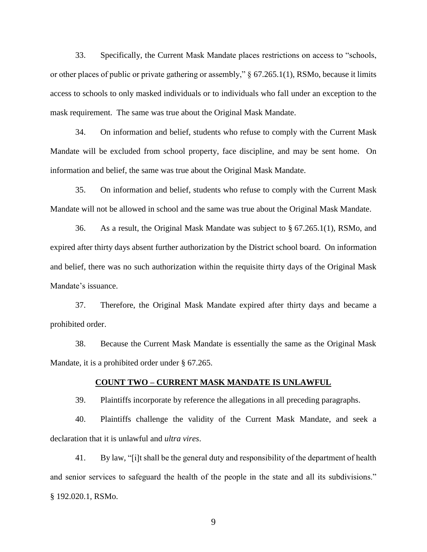33. Specifically, the Current Mask Mandate places restrictions on access to "schools, or other places of public or private gathering or assembly," § 67.265.1(1), RSMo, because it limits access to schools to only masked individuals or to individuals who fall under an exception to the mask requirement. The same was true about the Original Mask Mandate.

34. On information and belief, students who refuse to comply with the Current Mask Mandate will be excluded from school property, face discipline, and may be sent home. On information and belief, the same was true about the Original Mask Mandate.

35. On information and belief, students who refuse to comply with the Current Mask Mandate will not be allowed in school and the same was true about the Original Mask Mandate.

36. As a result, the Original Mask Mandate was subject to § 67.265.1(1), RSMo, and expired after thirty days absent further authorization by the District school board. On information and belief, there was no such authorization within the requisite thirty days of the Original Mask Mandate's issuance.

37. Therefore, the Original Mask Mandate expired after thirty days and became a prohibited order.

38. Because the Current Mask Mandate is essentially the same as the Original Mask Mandate, it is a prohibited order under § 67.265.

### **COUNT TWO – CURRENT MASK MANDATE IS UNLAWFUL**

39. Plaintiffs incorporate by reference the allegations in all preceding paragraphs.

40. Plaintiffs challenge the validity of the Current Mask Mandate, and seek a declaration that it is unlawful and *ultra vires*.

41. By law, "[i]t shall be the general duty and responsibility of the department of health and senior services to safeguard the health of the people in the state and all its subdivisions." § 192.020.1, RSMo.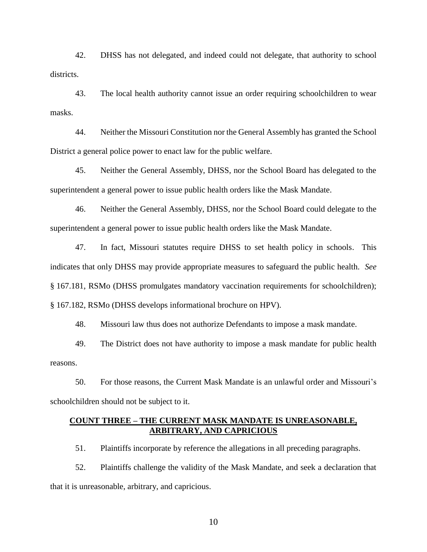42. DHSS has not delegated, and indeed could not delegate, that authority to school districts.

43. The local health authority cannot issue an order requiring schoolchildren to wear masks.

44. Neither the Missouri Constitution nor the General Assembly has granted the School District a general police power to enact law for the public welfare.

45. Neither the General Assembly, DHSS, nor the School Board has delegated to the superintendent a general power to issue public health orders like the Mask Mandate.

46. Neither the General Assembly, DHSS, nor the School Board could delegate to the superintendent a general power to issue public health orders like the Mask Mandate.

47. In fact, Missouri statutes require DHSS to set health policy in schools. This indicates that only DHSS may provide appropriate measures to safeguard the public health. *See*  § 167.181, RSMo (DHSS promulgates mandatory vaccination requirements for schoolchildren); § 167.182, RSMo (DHSS develops informational brochure on HPV).

48. Missouri law thus does not authorize Defendants to impose a mask mandate.

49. The District does not have authority to impose a mask mandate for public health reasons.

50. For those reasons, the Current Mask Mandate is an unlawful order and Missouri's schoolchildren should not be subject to it.

## **COUNT THREE – THE CURRENT MASK MANDATE IS UNREASONABLE, ARBITRARY, AND CAPRICIOUS**

51. Plaintiffs incorporate by reference the allegations in all preceding paragraphs.

52. Plaintiffs challenge the validity of the Mask Mandate, and seek a declaration that that it is unreasonable, arbitrary, and capricious.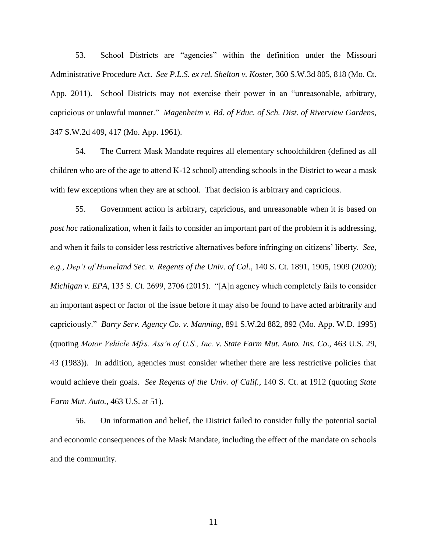53. School Districts are "agencies" within the definition under the Missouri Administrative Procedure Act. *See P.L.S. ex rel. Shelton v. Koster*, 360 S.W.3d 805, 818 (Mo. Ct. App. 2011). School Districts may not exercise their power in an "unreasonable, arbitrary, capricious or unlawful manner." *Magenheim v. Bd. of Educ. of Sch. Dist. of Riverview Gardens*, 347 S.W.2d 409, 417 (Mo. App. 1961).

54. The Current Mask Mandate requires all elementary schoolchildren (defined as all children who are of the age to attend K-12 school) attending schools in the District to wear a mask with few exceptions when they are at school. That decision is arbitrary and capricious.

55. Government action is arbitrary, capricious, and unreasonable when it is based on *post hoc* rationalization, when it fails to consider an important part of the problem it is addressing, and when it fails to consider less restrictive alternatives before infringing on citizens' liberty. *See*, *e.g.*, *Dep't of Homeland Sec. v. Regents of the Univ. of Cal.*, 140 S. Ct. 1891, 1905, 1909 (2020); *Michigan v. EPA*, 135 S. Ct. 2699, 2706 (2015). "[A]n agency which completely fails to consider an important aspect or factor of the issue before it may also be found to have acted arbitrarily and capriciously." *Barry Serv. Agency Co. v. Manning*, 891 S.W.2d 882, 892 (Mo. App. W.D. 1995) (quoting *Motor Vehicle Mfrs. Ass'n of U.S., Inc. v. State Farm Mut. Auto. Ins. Co*., 463 U.S. 29, 43 (1983)). In addition, agencies must consider whether there are less restrictive policies that would achieve their goals. *See Regents of the Univ. of Calif.*, 140 S. Ct. at 1912 (quoting *State Farm Mut. Auto.*, 463 U.S. at 51).

56. On information and belief, the District failed to consider fully the potential social and economic consequences of the Mask Mandate, including the effect of the mandate on schools and the community.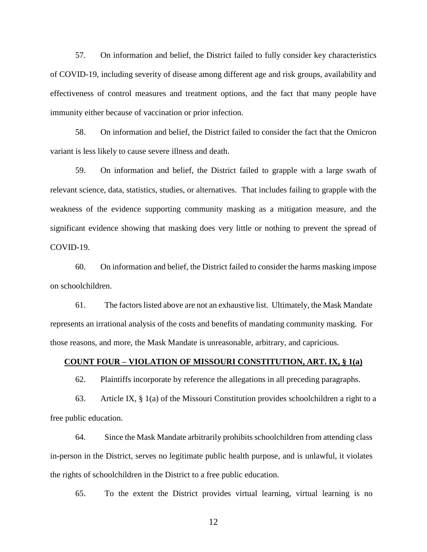57. On information and belief, the District failed to fully consider key characteristics of COVID-19, including severity of disease among different age and risk groups, availability and effectiveness of control measures and treatment options, and the fact that many people have immunity either because of vaccination or prior infection.

58. On information and belief, the District failed to consider the fact that the Omicron variant is less likely to cause severe illness and death.

59. On information and belief, the District failed to grapple with a large swath of relevant science, data, statistics, studies, or alternatives. That includes failing to grapple with the weakness of the evidence supporting community masking as a mitigation measure, and the significant evidence showing that masking does very little or nothing to prevent the spread of COVID-19.

60. On information and belief, the District failed to consider the harms masking impose on schoolchildren.

61. The factors listed above are not an exhaustive list. Ultimately, the Mask Mandate represents an irrational analysis of the costs and benefits of mandating community masking. For those reasons, and more, the Mask Mandate is unreasonable, arbitrary, and capricious.

# **COUNT FOUR – VIOLATION OF MISSOURI CONSTITUTION, ART. IX, § 1(a)**

62. Plaintiffs incorporate by reference the allegations in all preceding paragraphs.

63. Article IX, § 1(a) of the Missouri Constitution provides schoolchildren a right to a free public education.

64. Since the Mask Mandate arbitrarily prohibits schoolchildren from attending class in-person in the District, serves no legitimate public health purpose, and is unlawful, it violates the rights of schoolchildren in the District to a free public education.

65. To the extent the District provides virtual learning, virtual learning is no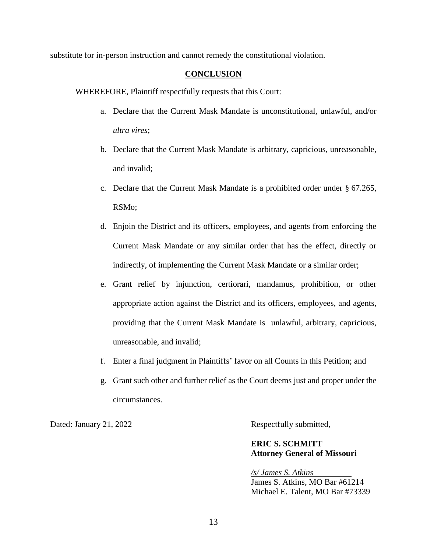substitute for in-person instruction and cannot remedy the constitutional violation.

# **CONCLUSION**

WHEREFORE, Plaintiff respectfully requests that this Court:

- a. Declare that the Current Mask Mandate is unconstitutional, unlawful, and/or *ultra vires*;
- b. Declare that the Current Mask Mandate is arbitrary, capricious, unreasonable, and invalid;
- c. Declare that the Current Mask Mandate is a prohibited order under § 67.265, RSMo;
- d. Enjoin the District and its officers, employees, and agents from enforcing the Current Mask Mandate or any similar order that has the effect, directly or indirectly, of implementing the Current Mask Mandate or a similar order;
- e. Grant relief by injunction, certiorari, mandamus, prohibition, or other appropriate action against the District and its officers, employees, and agents, providing that the Current Mask Mandate is unlawful, arbitrary, capricious, unreasonable, and invalid;
- f. Enter a final judgment in Plaintiffs' favor on all Counts in this Petition; and
- g. Grant such other and further relief as the Court deems just and proper under the circumstances.

Dated: January 21, 2022 Respectfully submitted,

# **ERIC S. SCHMITT Attorney General of Missouri**

*/s/ James S. Atkins* James S. Atkins, MO Bar #61214 Michael E. Talent, MO Bar #73339